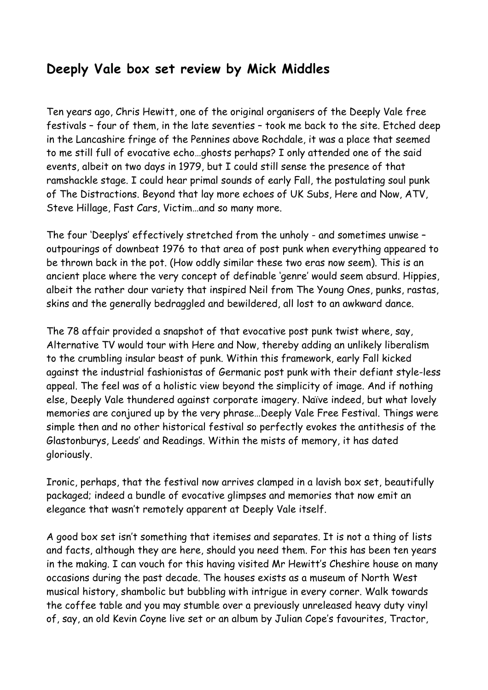## **Deeply Vale box set review by Mick Middles**

Ten years ago, Chris Hewitt, one of the original organisers of the Deeply Vale free festivals – four of them, in the late seventies – took me back to the site. Etched deep in the Lancashire fringe of the Pennines above Rochdale, it was a place that seemed to me still full of evocative echo…ghosts perhaps? I only attended one of the said events, albeit on two days in 1979, but I could still sense the presence of that ramshackle stage. I could hear primal sounds of early Fall, the postulating soul punk of The Distractions. Beyond that lay more echoes of UK Subs, Here and Now, ATV, Steve Hillage, Fast Cars, Victim…and so many more.

The four 'Deeplys' effectively stretched from the unholy - and sometimes unwise – outpourings of downbeat 1976 to that area of post punk when everything appeared to be thrown back in the pot. (How oddly similar these two eras now seem). This is an ancient place where the very concept of definable 'genre' would seem absurd. Hippies, albeit the rather dour variety that inspired Neil from The Young Ones, punks, rastas, skins and the generally bedraggled and bewildered, all lost to an awkward dance.

The 78 affair provided a snapshot of that evocative post punk twist where, say, Alternative TV would tour with Here and Now, thereby adding an unlikely liberalism to the crumbling insular beast of punk. Within this framework, early Fall kicked against the industrial fashionistas of Germanic post punk with their defiant style-less appeal. The feel was of a holistic view beyond the simplicity of image. And if nothing else, Deeply Vale thundered against corporate imagery. Naïve indeed, but what lovely memories are conjured up by the very phrase…Deeply Vale Free Festival. Things were simple then and no other historical festival so perfectly evokes the antithesis of the Glastonburys, Leeds' and Readings. Within the mists of memory, it has dated gloriously.

Ironic, perhaps, that the festival now arrives clamped in a lavish box set, beautifully packaged; indeed a bundle of evocative glimpses and memories that now emit an elegance that wasn't remotely apparent at Deeply Vale itself.

A good box set isn't something that itemises and separates. It is not a thing of lists and facts, although they are here, should you need them. For this has been ten years in the making. I can vouch for this having visited Mr Hewitt's Cheshire house on many occasions during the past decade. The houses exists as a museum of North West musical history, shambolic but bubbling with intrigue in every corner. Walk towards the coffee table and you may stumble over a previously unreleased heavy duty vinyl of, say, an old Kevin Coyne live set or an album by Julian Cope's favourites, Tractor,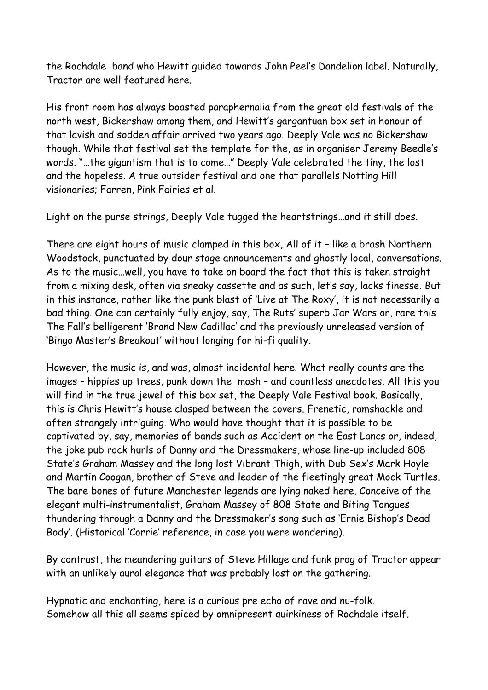the Rochdale band who Hewitt guided towards John Peel's Dandelion label. Naturally, Tractor are well featured here.

His front room has always boasted paraphernalia from the great old festivals of the north west, Bickershaw among them, and Hewitt's gargantuan box set in honour of that lavish and sodden affair arrived two years ago. Deeply Vale was no Bickershaw though. While that festival set the template for the, as in organiser Jeremy Beedle's words. "…the gigantism that is to come…" Deeply Vale celebrated the tiny, the lost and the hopeless. A true outsider festival and one that parallels Notting Hill visionaries; Farren, Pink Fairies et al.

Light on the purse strings, Deeply Vale tugged the heartstrings…and it still does.

There are eight hours of music clamped in this box, All of it – like a brash Northern Woodstock, punctuated by dour stage announcements and ghostly local, conversations. As to the music…well, you have to take on board the fact that this is taken straight from a mixing desk, often via sneaky cassette and as such, let's say, lacks finesse. But in this instance, rather like the punk blast of 'Live at The Roxy', it is not necessarily a bad thing. One can certainly fully enjoy, say, The Ruts' superb Jar Wars or, rare this The Fall's belligerent 'Brand New Cadillac' and the previously unreleased version of 'Bingo Master's Breakout' without longing for hi-fi quality.

However, the music is, and was, almost incidental here. What really counts are the images – hippies up trees, punk down the mosh – and countless anecdotes. All this you will find in the true jewel of this box set, the Deeply Vale Festival book. Basically, this is Chris Hewitt's house clasped between the covers. Frenetic, ramshackle and often strangely intriguing. Who would have thought that it is possible to be captivated by, say, memories of bands such as Accident on the East Lancs or, indeed, the joke pub rock hurls of Danny and the Dressmakers, whose line-up included 808 State's Graham Massey and the long lost Vibrant Thigh, with Dub Sex's Mark Hoyle and Martin Coogan, brother of Steve and leader of the fleetingly great Mock Turtles. The bare bones of future Manchester legends are lying naked here. Conceive of the elegant multi-instrumentalist, Graham Massey of 808 State and Biting Tongues thundering through a Danny and the Dressmaker's song such as 'Ernie Bishop's Dead Body'. (Historical 'Corrie' reference, in case you were wondering).

By contrast, the meandering guitars of Steve Hillage and funk prog of Tractor appear with an unlikely aural elegance that was probably lost on the gathering.

Hypnotic and enchanting, here is a curious pre echo of rave and nu-folk. Somehow all this all seems spiced by omnipresent quirkiness of Rochdale itself.